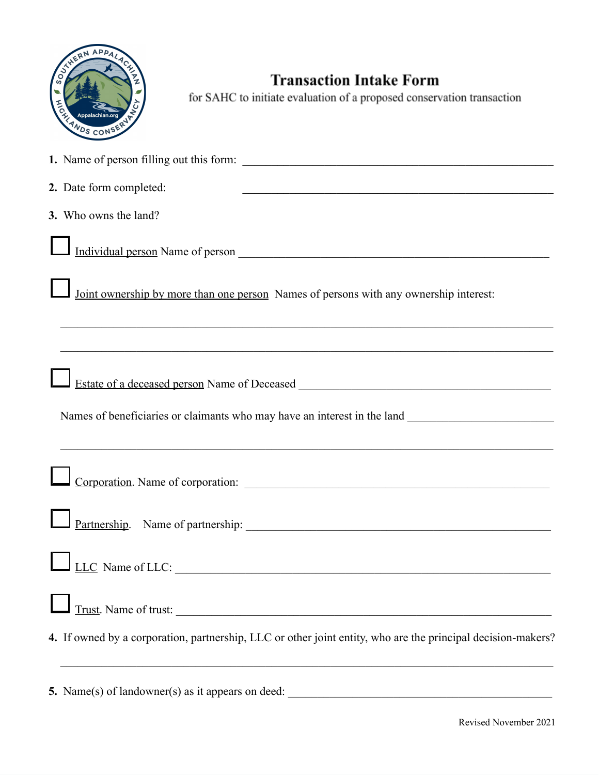| HERN APPALACE   |  |
|-----------------|--|
| ECHANDS CONSERV |  |

## **Transaction Intake Form**

for SAHC to initiate evaluation of a proposed conservation transaction

| 2. Date form completed:<br><u> 1989 - Johann John Stone, mars et al. 1989 - John Stone, mars et al. 1989 - John Stone, mars et al. 1989 - John Stone</u>                                  |
|-------------------------------------------------------------------------------------------------------------------------------------------------------------------------------------------|
| 3. Who owns the land?                                                                                                                                                                     |
|                                                                                                                                                                                           |
| Joint ownership by more than one person Names of persons with any ownership interest:                                                                                                     |
| ,我们也不能在这里的时候,我们也不能在这里的时候,我们也不能会在这里的时候,我们也不能会在这里的时候,我们也不能会在这里的时候,我们也不能会在这里的时候,我们也不                                                                                                         |
| Estate of a deceased person Name of Deceased ___________________________________                                                                                                          |
| Names of beneficiaries or claimants who may have an interest in the land ___________________________<br>,我们也不能在这里的时候,我们也不能在这里的时候,我们也不能会在这里的时候,我们也不能会在这里的时候,我们也不能会在这里的时候,我们也不能会在这里的时候,我们也不 |
|                                                                                                                                                                                           |
|                                                                                                                                                                                           |
| LLC Name of LLC:                                                                                                                                                                          |
| Trust. Name of trust:                                                                                                                                                                     |
| 4. If owned by a corporation, partnership, LLC or other joint entity, who are the principal decision-makers?                                                                              |
| 5. Name(s) of landowner(s) as it appears on deed:                                                                                                                                         |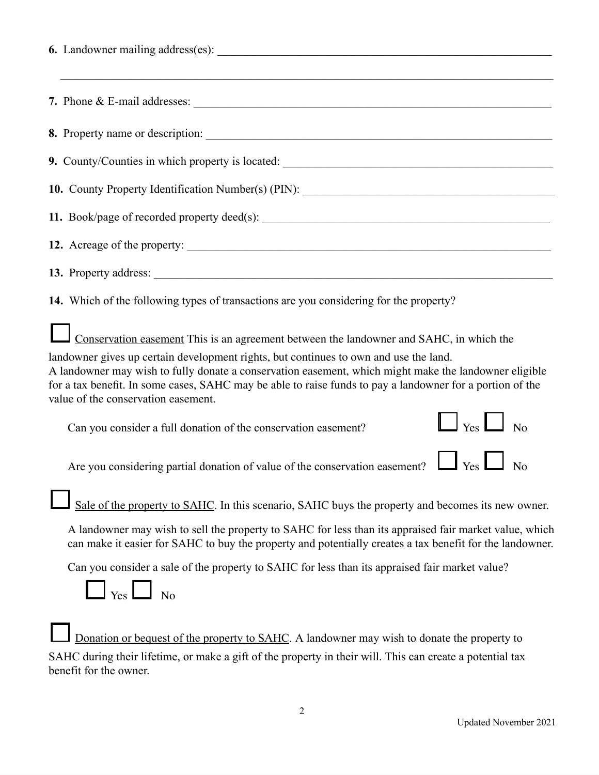| 9. County/Counties in which property is located: _______________________________                                                                                                                                                                                                                                                                   |  |  |  |  |
|----------------------------------------------------------------------------------------------------------------------------------------------------------------------------------------------------------------------------------------------------------------------------------------------------------------------------------------------------|--|--|--|--|
| 10. County Property Identification Number(s) (PIN): _____________________________                                                                                                                                                                                                                                                                  |  |  |  |  |
|                                                                                                                                                                                                                                                                                                                                                    |  |  |  |  |
| 12. Acreage of the property:                                                                                                                                                                                                                                                                                                                       |  |  |  |  |
|                                                                                                                                                                                                                                                                                                                                                    |  |  |  |  |
| 14. Which of the following types of transactions are you considering for the property?                                                                                                                                                                                                                                                             |  |  |  |  |
| Conservation easement This is an agreement between the landowner and SAHC, in which the                                                                                                                                                                                                                                                            |  |  |  |  |
| landowner gives up certain development rights, but continues to own and use the land.<br>A landowner may wish to fully donate a conservation easement, which might make the landowner eligible<br>for a tax benefit. In some cases, SAHC may be able to raise funds to pay a landowner for a portion of the<br>value of the conservation easement. |  |  |  |  |
| $\Box$ Yes $\Box$ No<br>Can you consider a full donation of the conservation easement?                                                                                                                                                                                                                                                             |  |  |  |  |
| Are you considering partial donation of value of the conservation easement? $\Box$ Yes                                                                                                                                                                                                                                                             |  |  |  |  |
| Sale of the property to SAHC. In this scenario, SAHC buys the property and becomes its new owner.                                                                                                                                                                                                                                                  |  |  |  |  |
| A landowner may wish to sell the property to SAHC for less than its appraised fair market value, which<br>can make it easier for SAHC to buy the property and potentially creates a tax benefit for the landowner.                                                                                                                                 |  |  |  |  |
| Can you consider a sale of the property to SAHC for less than its appraised fair market value?                                                                                                                                                                                                                                                     |  |  |  |  |
| Yes<br>$\overline{N}$                                                                                                                                                                                                                                                                                                                              |  |  |  |  |
| Donation or bequest of the property to SAHC. A landowner may wish to donate the property to                                                                                                                                                                                                                                                        |  |  |  |  |

SAHC during their lifetime, or make a gift of the property in their will. This can create a potential tax benefit for the owner.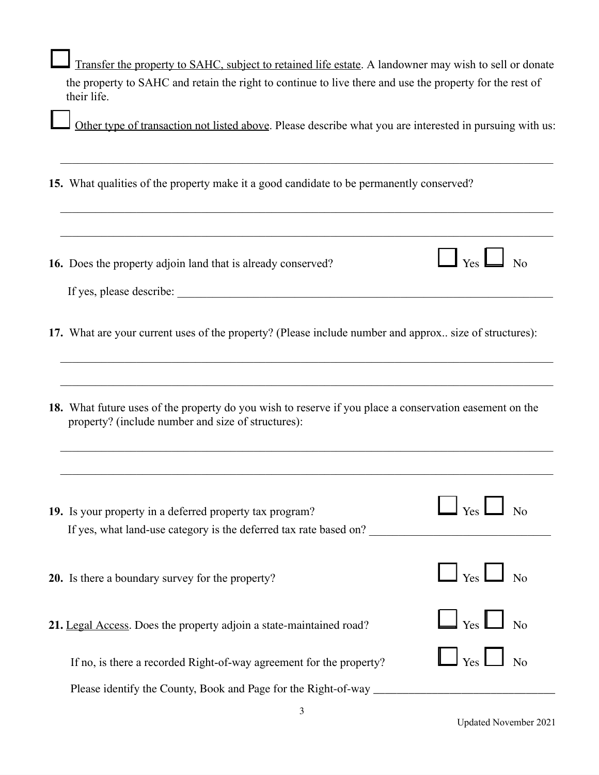| Transfer the property to SAHC, subject to retained life estate. A landowner may wish to sell or donate                                                        |  |  |  |
|---------------------------------------------------------------------------------------------------------------------------------------------------------------|--|--|--|
| the property to SAHC and retain the right to continue to live there and use the property for the rest of<br>their life.                                       |  |  |  |
| Other type of transaction not listed above. Please describe what you are interested in pursuing with us:                                                      |  |  |  |
| 15. What qualities of the property make it a good candidate to be permanently conserved?                                                                      |  |  |  |
| $\Box$ Yes $\Box$ No<br>16. Does the property adjoin land that is already conserved?                                                                          |  |  |  |
| 17. What are your current uses of the property? (Please include number and approx size of structures):                                                        |  |  |  |
| 18. What future uses of the property do you wish to reserve if you place a conservation easement on the<br>property? (include number and size of structures): |  |  |  |
| 19. Is your property in a deferred property tax program?<br>If yes, what land-use category is the deferred tax rate based on?                                 |  |  |  |
| $\Box$ $_{\rm Yes}$ $\Box$<br>$\Box$ No<br>20. Is there a boundary survey for the property?                                                                   |  |  |  |
| $\Box$ Yes $\Box$<br>$\overline{N}$<br>21. Legal Access. Does the property adjoin a state-maintained road?                                                    |  |  |  |
| $\frac{1}{\sqrt{2}}$<br>If no, is there a recorded Right-of-way agreement for the property?                                                                   |  |  |  |
| Please identify the County, Book and Page for the Right-of-way                                                                                                |  |  |  |